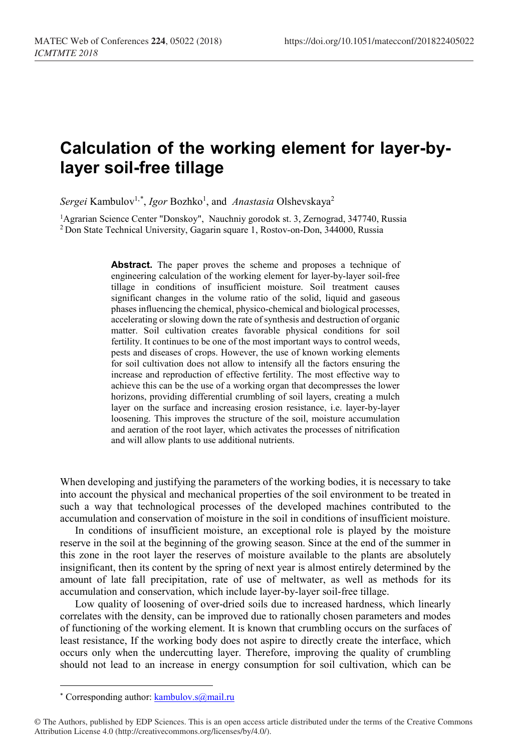## **Calculation of the working element for layer-bylayer soil-free tillage**

 $Sergei$  Kambulov<sup>1,[\\*](#page-0-0)</sup>, *Igor* Bozhko<sup>1</sup>, and *Anastasia* Olshevskaya<sup>2</sup>

1Agrarian Science Center "Donskoy", Nauchniy gorodok st. 3, Zernograd, 347740, Russia <sup>2</sup> Don State Technical University, Gagarin square 1, Rostov-on-Don, 344000, Russia

> Abstract. The paper proves the scheme and proposes a technique of engineering calculation of the working element for layer-by-layer soil-free tillage in conditions of insufficient moisture. Soil treatment causes significant changes in the volume ratio of the solid, liquid and gaseous phases influencing the chemical, physico-chemical and biological processes, accelerating or slowing down the rate of synthesis and destruction of organic matter. Soil cultivation creates favorable physical conditions for soil fertility. It continues to be one of the most important ways to control weeds, pests and diseases of crops. However, the use of known working elements for soil cultivation does not allow to intensify all the factors ensuring the increase and reproduction of effective fertility. The most effective way to achieve this can be the use of a working organ that decompresses the lower horizons, providing differential crumbling of soil layers, creating a mulch layer on the surface and increasing erosion resistance, i.e. layer-by-layer loosening. This improves the structure of the soil, moisture accumulation and aeration of the root layer, which activates the processes of nitrification and will allow plants to use additional nutrients.

When developing and justifying the parameters of the working bodies, it is necessary to take into account the physical and mechanical properties of the soil environment to be treated in such a way that technological processes of the developed machines contributed to the accumulation and conservation of moisture in the soil in conditions of insufficient moisture.

In conditions of insufficient moisture, an exceptional role is played by the moisture reserve in the soil at the beginning of the growing season. Since at the end of the summer in this zone in the root layer the reserves of moisture available to the plants are absolutely insignificant, then its content by the spring of next year is almost entirely determined by the amount of late fall precipitation, rate of use of meltwater, as well as methods for its accumulation and conservation, which include layer-by-layer soil-free tillage.

Low quality of loosening of over-dried soils due to increased hardness, which linearly correlates with the density, can be improved due to rationally chosen parameters and modes of functioning of the working element. It is known that crumbling occurs on the surfaces of least resistance, If the working body does not aspire to directly create the interface, which occurs only when the undercutting layer. Therefore, improving the quality of crumbling should not lead to an increase in energy consumption for soil cultivation, which can be

 $\overline{a}$ 

<sup>\*</sup> Corresponding author[: kambulov.s@mail.ru](mailto:kambulov.s@mail.ru)

<span id="page-0-0"></span><sup>©</sup> The Authors, published by EDP Sciences. This is an open access article distributed under the terms of the Creative Commons Attribution License 4.0 (http://creativecommons.org/licenses/by/4.0/).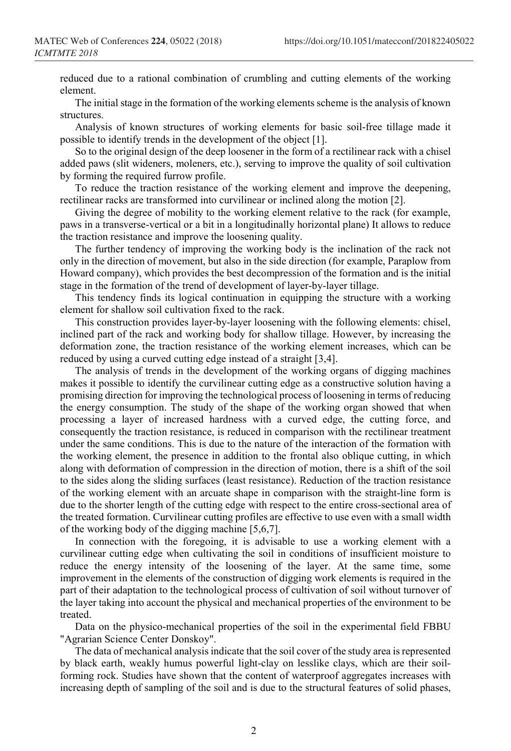reduced due to a rational combination of crumbling and cutting elements of the working element.

The initial stage in the formation of the working elements scheme is the analysis of known structures.

Analysis of known structures of working elements for basic soil-free tillage made it possible to identify trends in the development of the object [1].

So to the original design of the deep loosener in the form of a rectilinear rack with a chisel added paws (slit wideners, moleners, etc.), serving to improve the quality of soil cultivation by forming the required furrow profile.

To reduce the traction resistance of the working element and improve the deepening, rectilinear racks are transformed into curvilinear or inclined along the motion [2].

Giving the degree of mobility to the working element relative to the rack (for example, paws in a transverse-vertical or a bit in a longitudinally horizontal plane) It allows to reduce the traction resistance and improve the loosening quality.

The further tendency of improving the working body is the inclination of the rack not only in the direction of movement, but also in the side direction (for example, Paraplow from Howard company), which provides the best decompression of the formation and is the initial stage in the formation of the trend of development of layer-by-layer tillage.

This tendency finds its logical continuation in equipping the structure with a working element for shallow soil cultivation fixed to the rack.

This construction provides layer-by-layer loosening with the following elements: chisel, inclined part of the rack and working body for shallow tillage. However, by increasing the deformation zone, the traction resistance of the working element increases, which can be reduced by using a curved cutting edge instead of a straight [3,4].

The analysis of trends in the development of the working organs of digging machines makes it possible to identify the curvilinear cutting edge as a constructive solution having a promising direction for improving the technological process of loosening in terms of reducing the energy consumption. The study of the shape of the working organ showed that when processing a layer of increased hardness with a curved edge, the cutting force, and consequently the traction resistance, is reduced in comparison with the rectilinear treatment under the same conditions. This is due to the nature of the interaction of the formation with the working element, the presence in addition to the frontal also oblique cutting, in which along with deformation of compression in the direction of motion, there is a shift of the soil to the sides along the sliding surfaces (least resistance). Reduction of the traction resistance of the working element with an arcuate shape in comparison with the straight-line form is due to the shorter length of the cutting edge with respect to the entire cross-sectional area of the treated formation. Curvilinear cutting profiles are effective to use even with a small width of the working body of the digging machine [5,6,7].

In connection with the foregoing, it is advisable to use a working element with a curvilinear cutting edge when cultivating the soil in conditions of insufficient moisture to reduce the energy intensity of the loosening of the layer. At the same time, some improvement in the elements of the construction of digging work elements is required in the part of their adaptation to the technological process of cultivation of soil without turnover of the layer taking into account the physical and mechanical properties of the environment to be treated.

Data on the physico-mechanical properties of the soil in the experimental field FBBU "Agrarian Science Center Donskoy".

The data of mechanical analysis indicate that the soil cover of the study area is represented by black earth, weakly humus powerful light-clay on lesslike clays, which are their soilforming rock. Studies have shown that the content of waterproof aggregates increases with increasing depth of sampling of the soil and is due to the structural features of solid phases,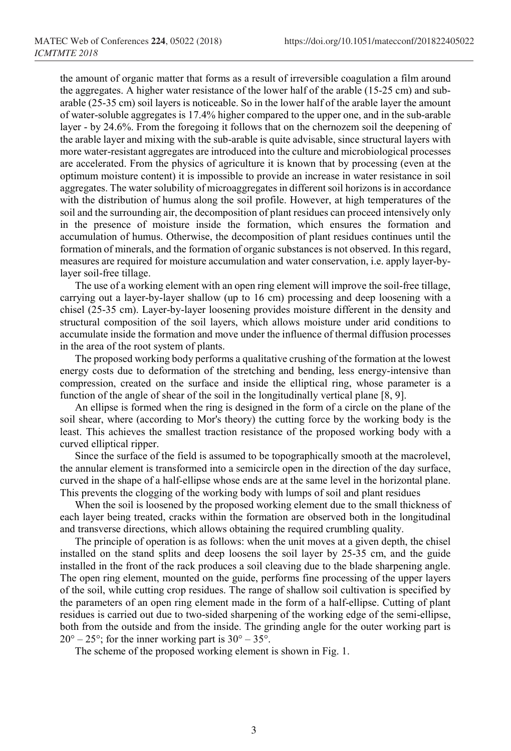the amount of organic matter that forms as a result of irreversible coagulation a film around the aggregates. A higher water resistance of the lower half of the arable (15-25 cm) and subarable (25-35 cm) soil layers is noticeable. So in the lower half of the arable layer the amount of water-soluble aggregates is 17.4% higher compared to the upper one, and in the sub-arable layer - by 24.6%. From the foregoing it follows that on the chernozem soil the deepening of the arable layer and mixing with the sub-arable is quite advisable, since structural layers with more water-resistant aggregates are introduced into the culture and microbiological processes are accelerated. From the physics of agriculture it is known that by processing (even at the optimum moisture content) it is impossible to provide an increase in water resistance in soil aggregates. The water solubility of microaggregates in different soil horizons is in accordance with the distribution of humus along the soil profile. However, at high temperatures of the soil and the surrounding air, the decomposition of plant residues can proceed intensively only in the presence of moisture inside the formation, which ensures the formation and accumulation of humus. Otherwise, the decomposition of plant residues continues until the formation of minerals, and the formation of organic substances is not observed. In this regard, measures are required for moisture accumulation and water conservation, i.e. apply layer-bylayer soil-free tillage.

The use of a working element with an open ring element will improve the soil-free tillage, carrying out a layer-by-layer shallow (up to 16 cm) processing and deep loosening with a chisel (25-35 cm). Layer-by-layer loosening provides moisture different in the density and structural composition of the soil layers, which allows moisture under arid conditions to accumulate inside the formation and move under the influence of thermal diffusion processes in the area of the root system of plants.

The proposed working body performs a qualitative crushing of the formation at the lowest energy costs due to deformation of the stretching and bending, less energy-intensive than compression, created on the surface and inside the elliptical ring, whose parameter is a function of the angle of shear of the soil in the longitudinally vertical plane [8, 9].

An ellipse is formed when the ring is designed in the form of a circle on the plane of the soil shear, where (according to Mor's theory) the cutting force by the working body is the least. This achieves the smallest traction resistance of the proposed working body with a curved elliptical ripper.

Since the surface of the field is assumed to be topographically smooth at the macrolevel, the annular element is transformed into a semicircle open in the direction of the day surface, curved in the shape of a half-ellipse whose ends are at the same level in the horizontal plane. This prevents the clogging of the working body with lumps of soil and plant residues

When the soil is loosened by the proposed working element due to the small thickness of each layer being treated, cracks within the formation are observed both in the longitudinal and transverse directions, which allows obtaining the required crumbling quality.

The principle of operation is as follows: when the unit moves at a given depth, the chisel installed on the stand splits and deep loosens the soil layer by 25-35 cm, and the guide installed in the front of the rack produces a soil cleaving due to the blade sharpening angle. The open ring element, mounted on the guide, performs fine processing of the upper layers of the soil, while cutting crop residues. The range of shallow soil cultivation is specified by the parameters of an open ring element made in the form of a half-ellipse. Cutting of plant residues is carried out due to two-sided sharpening of the working edge of the semi-ellipse, both from the outside and from the inside. The grinding angle for the outer working part is  $20^{\circ} - 25^{\circ}$ ; for the inner working part is  $30^{\circ} - 35^{\circ}$ .

The scheme of the proposed working element is shown in Fig. 1.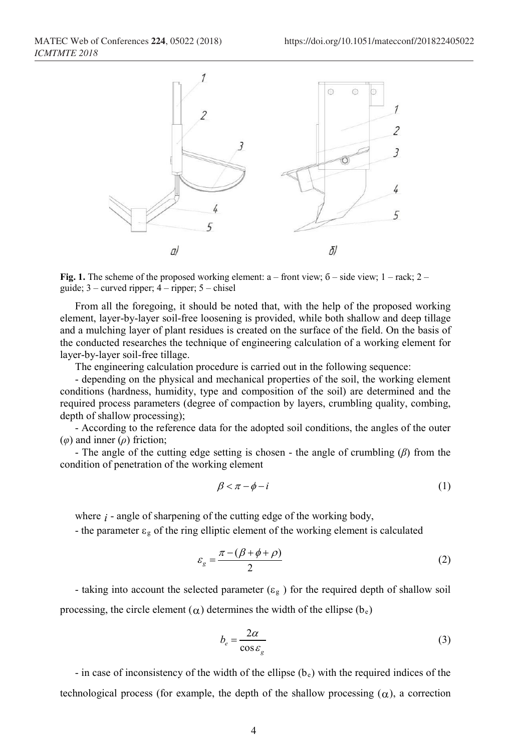

**Fig. 1.** The scheme of the proposed working element:  $a -$  front view;  $\overline{6} -$  side view;  $1 -$  rack;  $2$ guide;  $3$  – curved ripper;  $4$  – ripper;  $5$  – chisel

From all the foregoing, it should be noted that, with the help of the proposed working element, layer-by-layer soil-free loosening is provided, while both shallow and deep tillage and a mulching layer of plant residues is created on the surface of the field. On the basis of the conducted researches the technique of engineering calculation of a working element for layer-by-layer soil-free tillage.

The engineering calculation procedure is carried out in the following sequence:

- depending on the physical and mechanical properties of the soil, the working element conditions (hardness, humidity, type and composition of the soil) are determined and the required process parameters (degree of compaction by layers, crumbling quality, combing, depth of shallow processing);

- According to the reference data for the adopted soil conditions, the angles of the outer (*φ*) and inner (*ρ*) friction;

- The angle of the cutting edge setting is chosen - the angle of crumbling (*β*) from the condition of penetration of the working element

$$
\beta < \pi - \phi - i \tag{1}
$$

where *i* - angle of sharpening of the cutting edge of the working body,

- the parameter  $\varepsilon_{g}$  of the ring elliptic element of the working element is calculated

$$
\varepsilon_g = \frac{\pi - (\beta + \phi + \rho)}{2} \tag{2}
$$

- taking into account the selected parameter ( $\varepsilon_g$ ) for the required depth of shallow soil processing, the circle element ( $\alpha$ ) determines the width of the ellipse ( $b_e$ )

$$
b_e = \frac{2\alpha}{\cos \varepsilon_g} \tag{3}
$$

- in case of inconsistency of the width of the ellipse  $(b_e)$  with the required indices of the technological process (for example, the depth of the shallow processing  $(\alpha)$ , a correction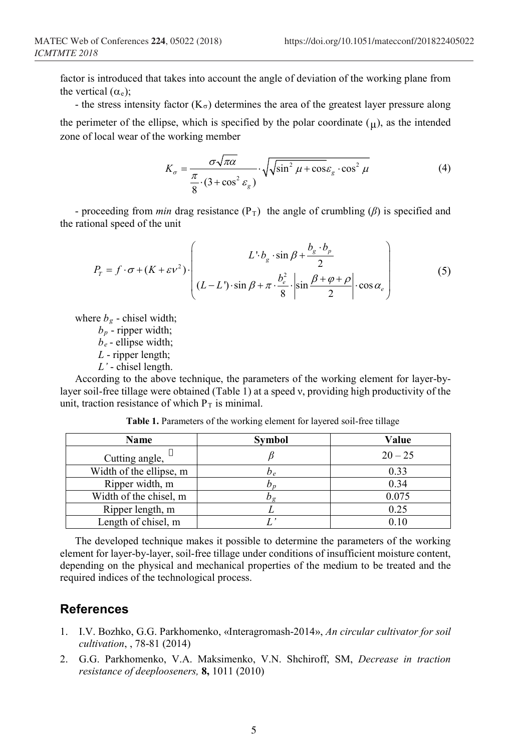factor is introduced that takes into account the angle of deviation of the working plane from the vertical  $(\alpha_e)$ ;

- the stress intensity factor  $(K_{\sigma})$  determines the area of the greatest layer pressure along the perimeter of the ellipse, which is specified by the polar coordinate  $(\mu)$ , as the intended zone of local wear of the working member

$$
K_{\sigma} = \frac{\sigma \sqrt{\pi \alpha}}{\frac{\pi}{8} \cdot (3 + \cos^2 \varepsilon_g)} \cdot \sqrt{\sqrt{\sin^2 \mu + \cos \varepsilon_g \cdot \cos^2 \mu}}
$$
(4)

- proceeding from *min* drag resistance  $(P_T)$  the angle of crumbling  $(\beta)$  is specified and the rational speed of the unit

$$
P_{T} = f \cdot \sigma + (K + \varepsilon v^{2}) \cdot \left( L \cdot b_{g} \cdot \sin \beta + \frac{b_{g} \cdot b_{p}}{2} \cdot \sin \beta + \frac{b_{g} \cdot b_{p}}{2} \cdot \sin \frac{\beta + \varphi + \rho}{2} \cdot \cos \alpha_{e} \right)
$$
(5)

where  $b_g$  - chisel width;

 $b_p$  - ripper width;

*be* - ellipse width;

*L* - ripper length;

*L'* - chisel length.

According to the above technique, the parameters of the working element for layer-bylayer soil-free tillage were obtained (Table 1) at a speed ν, providing high productivity of the unit, traction resistance of which  $P_T$  is minimal.

| Name                    | Symbol                      | Value     |
|-------------------------|-----------------------------|-----------|
| Cutting angle,          |                             | $20 - 25$ |
| Width of the ellipse, m | D e                         | 0.33      |
| Ripper width, m         | $\mathcal{D}_{\mathcal{D}}$ | 0.34      |
| Width of the chisel, m  | Jσ                          | 0.075     |
| Ripper length, m        |                             | 0.25      |
| Length of chisel, m     |                             | 0.10      |

**Table 1.** Parameters of the working element for layered soil-free tillage

The developed technique makes it possible to determine the parameters of the working element for layer-by-layer, soil-free tillage under conditions of insufficient moisture content, depending on the physical and mechanical properties of the medium to be treated and the required indices of the technological process.

## **References**

- 1. I.V. Bozhko, G.G. Parkhomenko, «Interagromash-2014», *An circular cultivator for soil cultivation*, , 78-81 (2014)
- 2. G.G. Parkhomenko, V.A. Maksimenko, V.N. Shchiroff, SM, *Decrease in traction resistance of deeplooseners,* **8,** 1011 (2010)